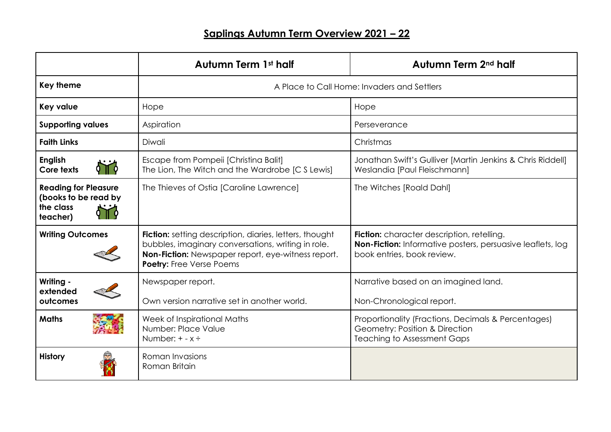|                                                                              | <b>Autumn Term 1st half</b>                                                                                                                                                                                   | Autumn Term 2 <sup>nd</sup> half                                                                                                                     |
|------------------------------------------------------------------------------|---------------------------------------------------------------------------------------------------------------------------------------------------------------------------------------------------------------|------------------------------------------------------------------------------------------------------------------------------------------------------|
| <b>Key theme</b>                                                             | A Place to Call Home: Invaders and Settlers                                                                                                                                                                   |                                                                                                                                                      |
| <b>Key value</b>                                                             | Hope                                                                                                                                                                                                          | Hope                                                                                                                                                 |
| <b>Supporting values</b>                                                     | Aspiration                                                                                                                                                                                                    | Perseverance                                                                                                                                         |
| <b>Faith Links</b>                                                           | Diwali                                                                                                                                                                                                        | Christmas                                                                                                                                            |
| <b>English</b><br>Core texts                                                 | Escape from Pompeii [Christina Balit]<br>The Lion, The Witch and the Wardrobe [C S Lewis]                                                                                                                     | Jonathan Swift's Gulliver [Martin Jenkins & Chris Riddell]<br>Weslandia [Paul Fleischmann]                                                           |
| <b>Reading for Pleasure</b><br>(books to be read by<br>the class<br>teacher) | The Thieves of Ostia [Caroline Lawrence]                                                                                                                                                                      | The Witches [Roald Dahl]                                                                                                                             |
| <b>Writing Outcomes</b>                                                      | <b>Fiction:</b> setting description, diaries, letters, thought<br>bubbles, imaginary conversations, writing in role.<br>Non-Fiction: Newspaper report, eye-witness report.<br><b>Poetry: Free Verse Poems</b> | <b>Fiction:</b> character description, retelling.<br><b>Non-Fiction:</b> Informative posters, persuasive leaflets, log<br>book entries, book review. |
| Writing -<br>extended<br>outcomes                                            | Newspaper report.<br>Own version narrative set in another world.                                                                                                                                              | Narrative based on an imagined land.<br>Non-Chronological report.                                                                                    |
| <b>Maths</b>                                                                 | Week of Inspirational Maths<br>Number: Place Value<br>Number: $+ - x \div$                                                                                                                                    | Proportionality (Fractions, Decimals & Percentages)<br>Geometry: Position & Direction<br><b>Teaching to Assessment Gaps</b>                          |
| <b>History</b>                                                               | Roman Invasions<br>Roman Britain                                                                                                                                                                              |                                                                                                                                                      |